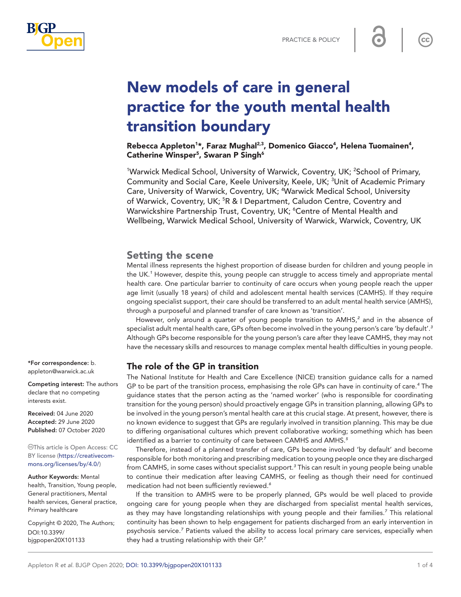

# New models of care in general practice for the youth mental health transition boundary

Rebecca Appleton<sup>1\*</sup>, Faraz Mughal<sup>2,3</sup>, Domenico Giacco<sup>4</sup>, Helena Tuomainen<sup>4</sup>, Catherine Winsper<sup>5</sup>, Swaran P Singh<sup>6</sup>

<sup>1</sup>Warwick Medical School, University of Warwick, Coventry, UK; <sup>2</sup>School of Primary, Community and Social Care, Keele University, Keele, UK; <sup>3</sup>Unit of Academic Primary Care, University of Warwick, Coventry, UK; <sup>4</sup>Warwick Medical School, University of Warwick, Coventry, UK; <sup>5</sup>R & I Department, Caludon Centre, Coventry and Warwickshire Partnership Trust, Coventry, UK; <sup>6</sup>Centre of Mental Health and Wellbeing, Warwick Medical School, University of Warwick, Warwick, Coventry, UK

## Setting the scene

Mental illness represents the highest proportion of disease burden for children and young people in the UK.*[1](#page-2-0)* However, despite this, young people can struggle to access timely and appropriate mental health care. One particular barrier to continuity of care occurs when young people reach the upper age limit (usually 18 years) of child and adolescent mental health services (CAMHS). If they require ongoing specialist support, their care should be transferred to an adult mental health service (AMHS), through a purposeful and planned transfer of care known as 'transition'.

However, only around a quarter of young people transition to AMHS,*[2](#page-2-1)* and in the absence of specialist adult mental health care, GPs often become involved in the young person's care 'by default'.*[3](#page-2-2)* Although GPs become responsible for the young person's care after they leave CAMHS, they may not have the necessary skills and resources to manage complex mental health difficulties in young people.

#### The role of the GP in transition

The National Institute for Health and Care Excellence (NICE) transition guidance calls for a named GP to be part of the transition process, emphasising the role GPs can have in continuity of care.*[4](#page-2-3)* The guidance states that the person acting as the 'named worker' (who is responsible for coordinating transition for the young person) should proactively engage GPs in transition planning, allowing GPs to be involved in the young person's mental health care at this crucial stage. At present, however, there is no known evidence to suggest that GPs are regularly involved in transition planning. This may be due to differing organisational cultures which prevent collaborative working; something which has been identified as a barrier to continuity of care between CAMHS and AMHS.*[5](#page-2-4)*

Therefore, instead of a planned transfer of care, GPs become involved 'by default' and become responsible for both monitoring and prescribing medication to young people once they are discharged from CAMHS, in some cases without specialist support.*[3](#page-2-2)* This can result in young people being unable to continue their medication after leaving CAMHS, or feeling as though their need for continued medication had not been sufficiently reviewed.*[6](#page-2-5)*

If the transition to AMHS were to be properly planned, GPs would be well placed to provide ongoing care for young people when they are discharged from specialist mental health services, as they may have longstanding relationships with young people and their families.*[7](#page-2-6)* This relational continuity has been shown to help engagement for patients discharged from an early intervention in psychosis service.<sup>[7](#page-2-6)</sup> Patients valued the ability to access local primary care services, especially when they had a trusting relationship with their GP.*[7](#page-2-6)*

\*For correspondence: [b.](mailto:b.appleton@warwick.ac.uk) [appleton@warwick.ac.uk](mailto:b.appleton@warwick.ac.uk)

Competing interest: The authors declare that no competing interests exist.

Received: 04 June 2020 Accepted: 29 June 2020 Published: 07 October 2020

This article is Open Access: CC BY license [\(https://creativecom](https://creativecommons.org/licenses/by/4.0/)[mons.org/licenses/by/4.0/\)](https://creativecommons.org/licenses/by/4.0/)

Author Keywords: Mental health, Transition, Young people, General practitioners, Mental health services, General practice, Primary healthcare

Copyright © 2020, The Authors; DOI:10.3399/ bjgpopen20X101133

 $cc$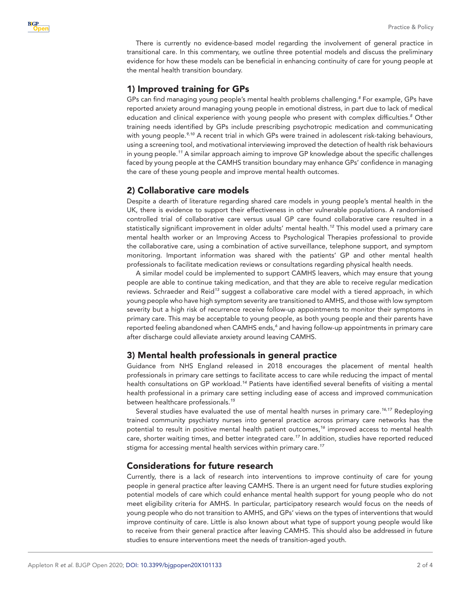

There is currently no evidence-based model regarding the involvement of general practice in transitional care. In this commentary, we outline three potential models and discuss the preliminary evidence for how these models can be beneficial in enhancing continuity of care for young people at the mental health transition boundary.

# 1) Improved training for GPs

GPs can find managing young people's mental health problems challenging.*[8](#page-2-7)* For example, GPs have reported anxiety around managing young people in emotional distress, in part due to lack of medical education and clinical experience with young people who present with complex difficulties.*[8](#page-2-7)* Other training needs identified by GPs include prescribing psychotropic medication and communicating with young people.*[9,10](#page-2-8)* A recent trial in which GPs were trained in adolescent risk-taking behaviours, using a screening tool, and motivational interviewing improved the detection of health risk behaviours in young people.*[11](#page-2-9)* A similar approach aiming to improve GP knowledge about the specific challenges faced by young people at the CAMHS transition boundary may enhance GPs' confidence in managing the care of these young people and improve mental health outcomes.

#### 2) Collaborative care models

Despite a dearth of literature regarding shared care models in young people's mental health in the UK, there is evidence to support their effectiveness in other vulnerable populations. A randomised controlled trial of collaborative care versus usual GP care found collaborative care resulted in a statistically significant improvement in older adults' mental health.*[12](#page-3-0)* This model used a primary care mental health worker or an Improving Access to Psychological Therapies professional to provide the collaborative care, using a combination of active surveillance, telephone support, and symptom monitoring. Important information was shared with the patients' GP and other mental health professionals to facilitate medication reviews or consultations regarding physical health needs.

A similar model could be implemented to support CAMHS leavers, which may ensure that young people are able to continue taking medication, and that they are able to receive regular medication reviews. Schraeder and Reid*[13](#page-3-1)* suggest a collaborative care model with a tiered approach, in which young people who have high symptom severity are transitioned to AMHS, and those with low symptom severity but a high risk of recurrence receive follow-up appointments to monitor their symptoms in primary care. This may be acceptable to young people, as both young people and their parents have reported feeling abandoned when CAMHS ends,*[6](#page-2-5)* and having follow-up appointments in primary care after discharge could alleviate anxiety around leaving CAMHS.

## 3) Mental health professionals in general practice

Guidance from NHS England released in 2018 encourages the placement of mental health professionals in primary care settings to facilitate access to care while reducing the impact of mental health consultations on GP workload.*[14](#page-3-2)* Patients have identified several benefits of visiting a mental health professional in a primary care setting including ease of access and improved communication between healthcare professionals.*[15](#page-3-3)*

Several studies have evaluated the use of mental health nurses in primary care.*[16,17](#page-3-4)* Redeploying trained community psychiatry nurses into general practice across primary care networks has the potential to result in positive mental health patient outcomes,*[16](#page-3-4)* improved access to mental health care, shorter waiting times, and better integrated care.*[17](#page-3-5)* In addition, studies have reported reduced stigma for accessing mental health services within primary care.*[17](#page-3-5)*

## Considerations for future research

Currently, there is a lack of research into interventions to improve continuity of care for young people in general practice after leaving CAMHS. There is an urgent need for future studies exploring potential models of care which could enhance mental health support for young people who do not meet eligibility criteria for AMHS. In particular, participatory research would focus on the needs of young people who do not transition to AMHS, and GPs' views on the types of interventions that would improve continuity of care. Little is also known about what type of support young people would like to receive from their general practice after leaving CAMHS. This should also be addressed in future studies to ensure interventions meet the needs of transition-aged youth.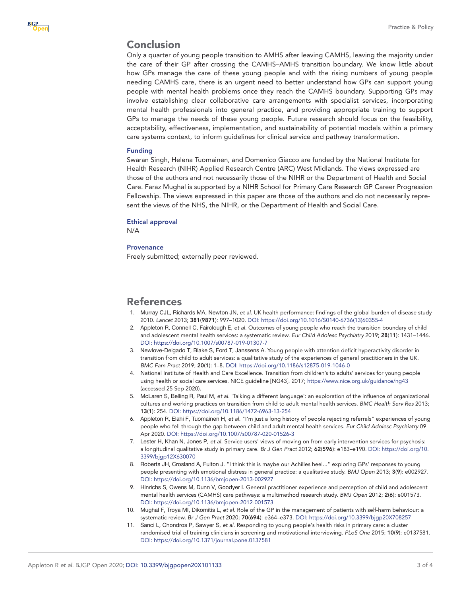# Conclusion

Only a quarter of young people transition to AMHS after leaving CAMHS, leaving the majority under the care of their GP after crossing the CAMHS–AMHS transition boundary. We know little about how GPs manage the care of these young people and with the rising numbers of young people needing CAMHS care, there is an urgent need to better understand how GPs can support young people with mental health problems once they reach the CAMHS boundary. Supporting GPs may involve establishing clear collaborative care arrangements with specialist services, incorporating mental health professionals into general practice, and providing appropriate training to support GPs to manage the needs of these young people. Future research should focus on the feasibility, acceptability, effectiveness, implementation, and sustainability of potential models within a primary care systems context, to inform guidelines for clinical service and pathway transformation.

#### Funding

Swaran Singh, Helena Tuomainen, and Domenico Giacco are funded by the National Institute for Health Research (NIHR) Applied Research Centre (ARC) West Midlands. The views expressed are those of the authors and not necessarily those of the NIHR or the Department of Health and Social Care. Faraz Mughal is supported by a NIHR School for Primary Care Research GP Career Progression Fellowship. The views expressed in this paper are those of the authors and do not necessarily represent the views of the NHS, the NIHR, or the Department of Health and Social Care.

#### Ethical approval

N/A

#### Provenance

Freely submitted; externally peer reviewed.

## References

- <span id="page-2-0"></span>1. Murray CJL, Richards MA, Newton JN, *et al*. UK health performance: findings of the global burden of disease study 2010. *Lancet* 2013; 381(9871): 997–1020. DOI: [https://doi.org/10.1016/S0140-6736\(13\)60355-4](https://doi.org/10.1016/S0140-6736(13)60355-4)
- <span id="page-2-1"></span>2. Appleton R, Connell C, Fairclough E, *et al*. Outcomes of young people who reach the transition boundary of child and adolescent mental health services: a systematic review. *Eur Child Adolesc Psychiatry* 2019; 28(11): 1431–1446. DOI:<https://doi.org/10.1007/s00787-019-01307-7>
- <span id="page-2-2"></span>3. Newlove-Delgado T, Blake S, Ford T, Janssens A. Young people with attention deficit hyperactivity disorder in transition from child to adult services: a qualitative study of the experiences of general practitioners in the UK. *BMC Fam Pract* 2019; 20(1): 1–8. DOI: <https://doi.org/10.1186/s12875-019-1046-0>
- <span id="page-2-3"></span>4. National Institute of Health and Care Excellence. Transition from children's to adults' services for young people using health or social care services. NICE guideline [NG43]. 2017;<https://www.nice.org.uk/guidance/ng43> (accessed 25 Sep 2020).
- <span id="page-2-4"></span>5. McLaren S, Belling R, Paul M, *et al*. 'Talking a different language': an exploration of the influence of organizational cultures and working practices on transition from child to adult mental health services. *BMC Health Serv Res* 2013; 13(1): 254. DOI: <https://doi.org/10.1186/1472-6963-13-254>
- <span id="page-2-5"></span>6. Appleton R, Elahi F, Tuomainen H, *et al*. "I'm just a long history of people rejecting referrals" experiences of young people who fell through the gap between child and adult mental health services. *Eur Child Adolesc Psychiatry* 09 Apr 2020. DOI: <https://doi.org/10.1007/s00787-020-01526-3>
- <span id="page-2-6"></span>7. Lester H, Khan N, Jones P, *et al*. Service users' views of moving on from early intervention services for psychosis: a longitudinal qualitative study in primary care. *Br J Gen Pract* 2012; 62(596): e183–e190. DOI: [https://doi.org/10.](https://doi.org/10.3399/bjgp12X630070) [3399/bjgp12X630070](https://doi.org/10.3399/bjgp12X630070)
- <span id="page-2-7"></span>8. Roberts JH, Crosland A, Fulton J. "I think this is maybe our Achilles heel..." exploring GPs' responses to young people presenting with emotional distress in general practice: a qualitative study. *BMJ Open* 2013; 3(9): e002927. DOI:<https://doi.org/10.1136/bmjopen-2013-002927>
- <span id="page-2-8"></span>9. Hinrichs S, Owens M, Dunn V, Goodyer I. General practitioner experience and perception of child and adolescent mental health services (CAMHS) care pathways: a multimethod research study. *BMJ Open* 2012; 2(6): e001573. DOI:<https://doi.org/10.1136/bmjopen-2012-001573>
- 10. Mughal F, Troya MI, Dikomitis L, *et al*. Role of the GP in the management of patients with self-harm behaviour: a systematic review. *Br J Gen Pract* 2020; 70(694): e364–e373. DOI: <https://doi.org/10.3399/bjgp20X708257>
- <span id="page-2-9"></span>11. Sanci L, Chondros P, Sawyer S, *et al*. Responding to young people's health risks in primary care: a cluster randomised trial of training clinicians in screening and motivational interviewing. *PLoS One* 2015; 10(9): e0137581. DOI:<https://doi.org/10.1371/journal.pone.0137581>